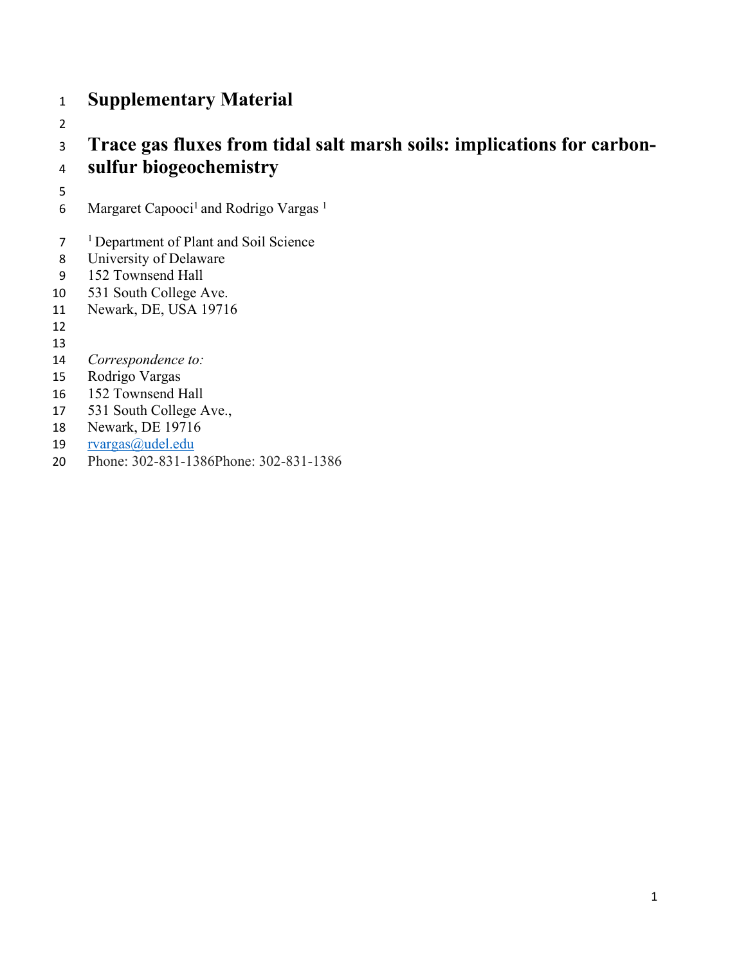## **Supplementary Material**

## **Trace gas fluxes from tidal salt marsh soils: implications for carbon-sulfur biogeochemistry**

- 
- 6 Margaret Capooci<sup>1</sup> and Rodrigo Vargas<sup>1</sup>
- 1 Department of Plant and Soil Science
- University of Delaware
- 152 Townsend Hall
- 531 South College Ave.
- Newark, DE, USA 19716
- 
- 
- *Correspondence to:*
- Rodrigo Vargas
- 152 Townsend Hall
- 531 South College Ave.,
- Newark, DE 19716
- rvargas@udel.edu
- Phone: 302-831-1386Phone: 302-831-1386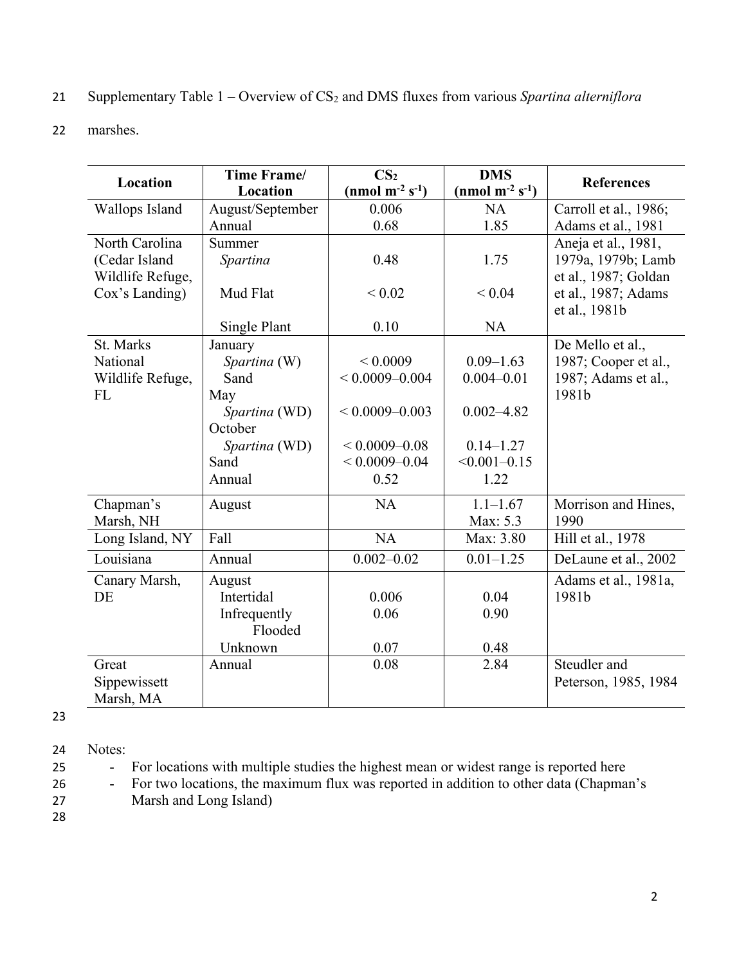| 21 Supplementary Table $1 -$ Overview of $CS_2$ and DMS fluxes from various Spartina alterniflora |  |  |  |  |
|---------------------------------------------------------------------------------------------------|--|--|--|--|
|                                                                                                   |  |  |  |  |

22 marshes.

| <b>Location</b>  | Time Frame/<br>Location  | CS <sub>2</sub><br>(nmol $m^{-2} s^{-1}$ ) | <b>DMS</b><br>(nmol m <sup>-2</sup> s <sup>-1</sup> ) | <b>References</b>                           |
|------------------|--------------------------|--------------------------------------------|-------------------------------------------------------|---------------------------------------------|
| Wallops Island   | August/September         | 0.006                                      | NA                                                    | Carroll et al., 1986;                       |
|                  | Annual                   | 0.68                                       | 1.85                                                  | Adams et al., 1981                          |
| North Carolina   | Summer                   |                                            |                                                       | Aneja et al., 1981,                         |
| (Cedar Island    |                          | 0.48                                       | 1.75                                                  | 1979a, 1979b; Lamb                          |
| Wildlife Refuge, | Spartina                 |                                            |                                                       |                                             |
| Cox's Landing)   | Mud Flat                 | ${}< 0.02$                                 | < 0.04                                                | et al., 1987; Goldan<br>et al., 1987; Adams |
|                  |                          |                                            |                                                       | et al., 1981b                               |
|                  | Single Plant             | 0.10                                       | <b>NA</b>                                             |                                             |
| St. Marks        |                          |                                            |                                                       |                                             |
| National         | January                  | ${}< 0.0009$                               | $0.09 - 1.63$                                         | De Mello et al.,                            |
|                  | Spartina (W)<br>Sand     | $< 0.0009 - 0.004$                         | $0.004 - 0.01$                                        | 1987; Cooper et al.,                        |
| Wildlife Refuge, |                          |                                            |                                                       | 1987; Adams et al.,<br>1981b                |
| <b>FL</b>        | May                      |                                            |                                                       |                                             |
|                  | Spartina (WD)<br>October | $< 0.0009 - 0.003$                         | $0.002 - 4.82$                                        |                                             |
|                  |                          |                                            |                                                       |                                             |
|                  | Spartina (WD)            | $< 0.0009 - 0.08$                          | $0.14 - 1.27$                                         |                                             |
|                  | Sand                     | $< 0.0009 - 0.04$                          | $< 0.001 - 0.15$                                      |                                             |
|                  | Annual                   | 0.52                                       | 1.22                                                  |                                             |
| Chapman's        | August                   | NA                                         | $1.1 - 1.67$                                          | Morrison and Hines,                         |
| Marsh, NH        |                          |                                            | Max: 5.3                                              | 1990                                        |
| Long Island, NY  | Fall                     | <b>NA</b>                                  | Max: 3.80                                             | Hill et al., 1978                           |
| Louisiana        | Annual                   | $0.002 - 0.02$                             | $0.01 - 1.25$                                         | DeLaune et al., 2002                        |
| Canary Marsh,    | August                   |                                            |                                                       | Adams et al., 1981a,                        |
| DE               | Intertidal               | 0.006                                      | 0.04                                                  | 1981b                                       |
|                  | Infrequently             | 0.06                                       | 0.90                                                  |                                             |
|                  | Flooded                  |                                            |                                                       |                                             |
|                  | Unknown                  | 0.07                                       | 0.48                                                  |                                             |
| Great            | Annual                   | 0.08                                       | 2.84                                                  | Steudler and                                |
| Sippewissett     |                          |                                            |                                                       | Peterson, 1985, 1984                        |
| Marsh, MA        |                          |                                            |                                                       |                                             |

23

24 Notes:

25 - For locations with multiple studies the highest mean or widest range is reported here

26 - For two locations, the maximum flux was reported in addition to other data (Chapman's

27 Marsh and Long Island)

28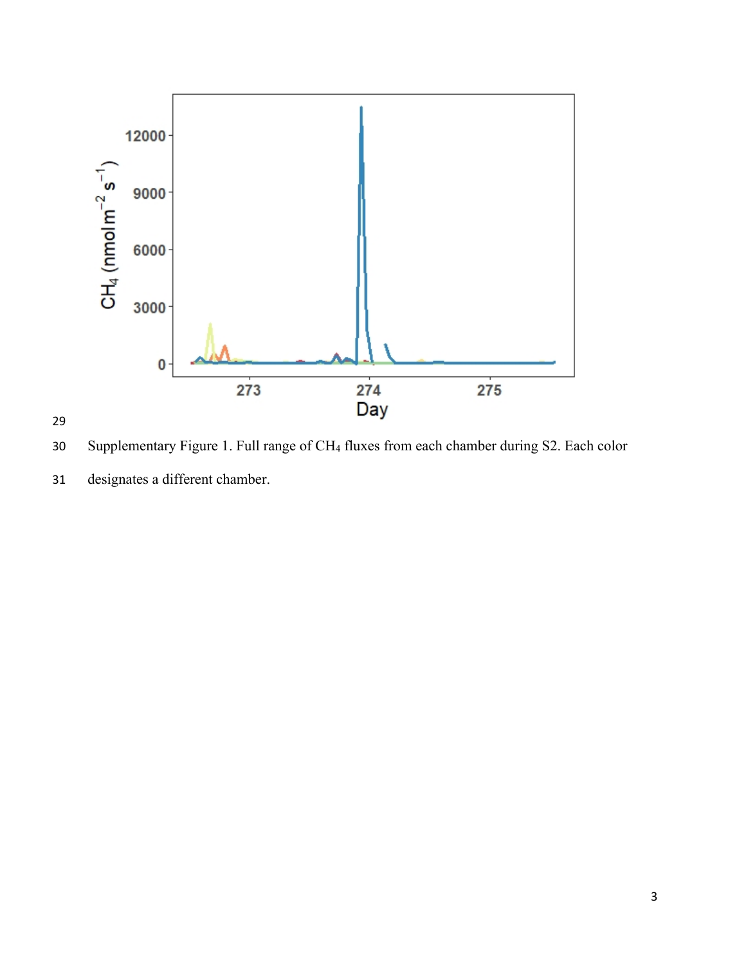

Supplementary Figure 1. Full range of CH4 fluxes from each chamber during S2. Each color

designates a different chamber.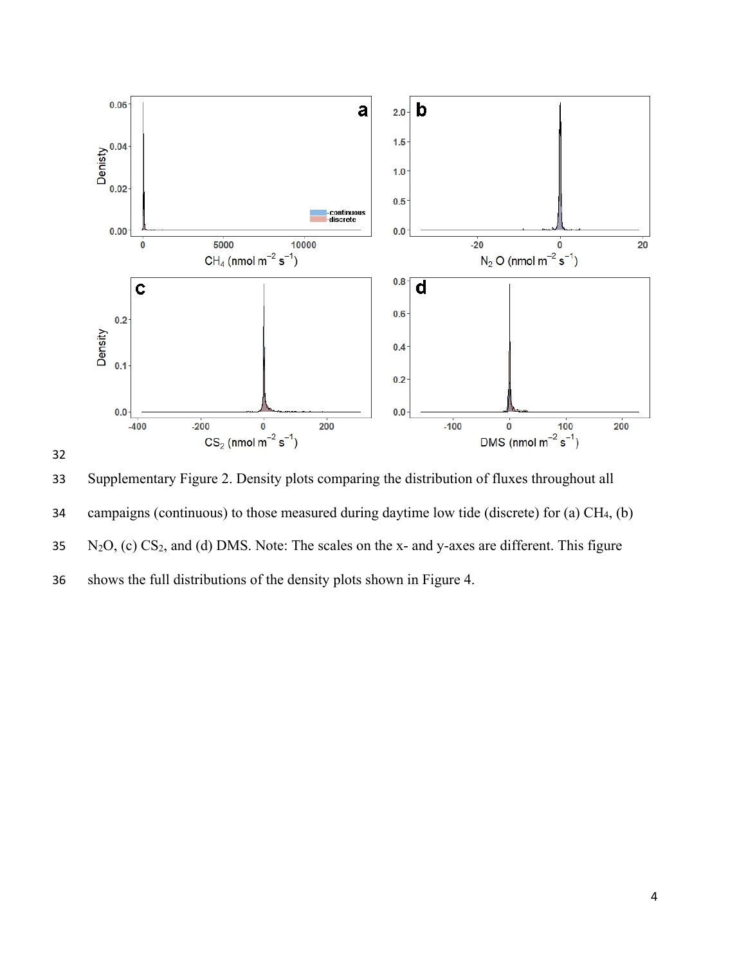



 Supplementary Figure 2. Density plots comparing the distribution of fluxes throughout all 34 campaigns (continuous) to those measured during daytime low tide (discrete) for (a) CH<sub>4</sub>, (b)  $N_2O$ , (c) CS<sub>2</sub>, and (d) DMS. Note: The scales on the x- and y-axes are different. This figure shows the full distributions of the density plots shown in Figure 4.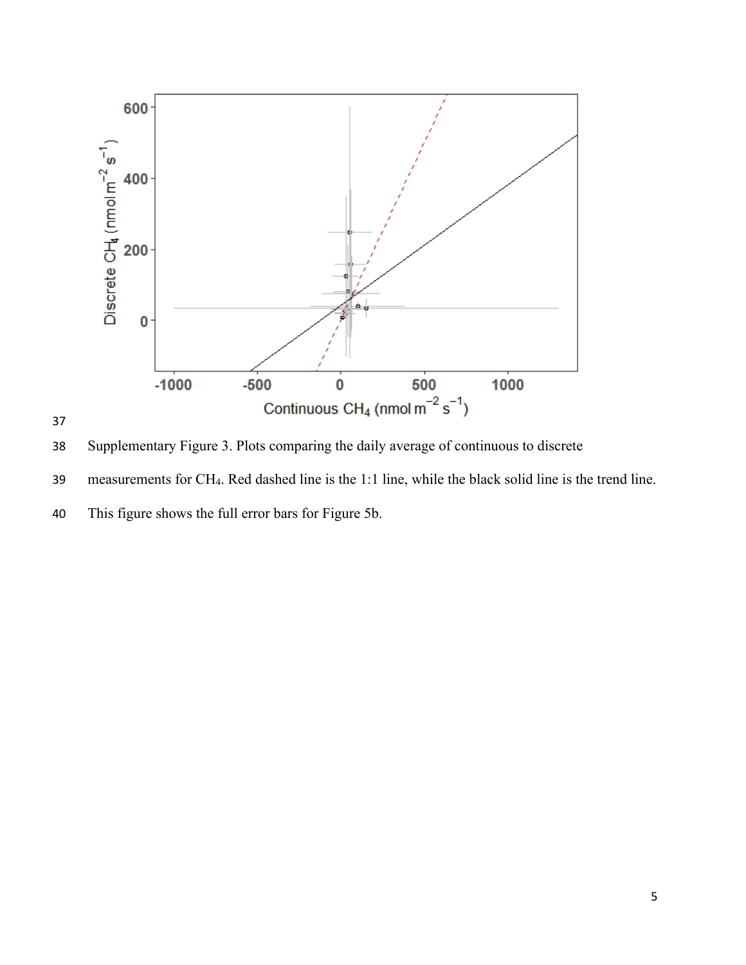

Supplementary Figure 3. Plots comparing the daily average of continuous to discrete

measurements for CH4. Red dashed line is the 1:1 line, while the black solid line is the trend line.

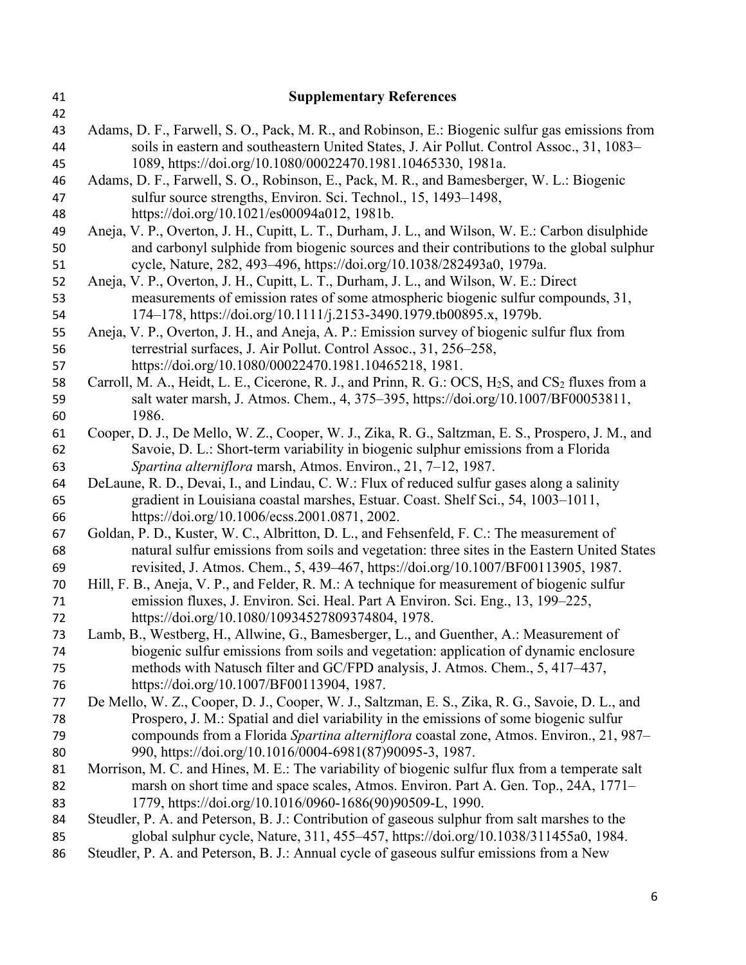| 41       | <b>Supplementary References</b>                                                                                                                          |  |  |
|----------|----------------------------------------------------------------------------------------------------------------------------------------------------------|--|--|
| 42       |                                                                                                                                                          |  |  |
| 43       | Adams, D. F., Farwell, S. O., Pack, M. R., and Robinson, E.: Biogenic sulfur gas emissions from                                                          |  |  |
| 44       | soils in eastern and southeastern United States, J. Air Pollut. Control Assoc., 31, 1083-                                                                |  |  |
| 45       | 1089, https://doi.org/10.1080/00022470.1981.10465330, 1981a.                                                                                             |  |  |
| 46       | Adams, D. F., Farwell, S. O., Robinson, E., Pack, M. R., and Bamesberger, W. L.: Biogenic                                                                |  |  |
| 47       | sulfur source strengths, Environ. Sci. Technol., 15, 1493–1498,                                                                                          |  |  |
| 48       | https://doi.org/10.1021/es00094a012, 1981b.                                                                                                              |  |  |
| 49       | Aneja, V. P., Overton, J. H., Cupitt, L. T., Durham, J. L., and Wilson, W. E.: Carbon disulphide                                                         |  |  |
| 50       | and carbonyl sulphide from biogenic sources and their contributions to the global sulphur                                                                |  |  |
| 51       | cycle, Nature, 282, 493-496, https://doi.org/10.1038/282493a0, 1979a.                                                                                    |  |  |
| 52       | Aneja, V. P., Overton, J. H., Cupitt, L. T., Durham, J. L., and Wilson, W. E.: Direct                                                                    |  |  |
| 53<br>54 | measurements of emission rates of some atmospheric biogenic sulfur compounds, 31,<br>174-178, https://doi.org/10.1111/j.2153-3490.1979.tb00895.x, 1979b. |  |  |
| 55       | Aneja, V. P., Overton, J. H., and Aneja, A. P.: Emission survey of biogenic sulfur flux from                                                             |  |  |
| 56       | terrestrial surfaces, J. Air Pollut. Control Assoc., 31, 256–258,                                                                                        |  |  |
| 57       | https://doi.org/10.1080/00022470.1981.10465218, 1981.                                                                                                    |  |  |
| 58       | Carroll, M. A., Heidt, L. E., Cicerone, R. J., and Prinn, R. G.: OCS, H <sub>2</sub> S, and CS <sub>2</sub> fluxes from a                                |  |  |
| 59       | salt water marsh, J. Atmos. Chem., 4, 375–395, https://doi.org/10.1007/BF00053811,                                                                       |  |  |
| 60       | 1986.                                                                                                                                                    |  |  |
| 61       | Cooper, D. J., De Mello, W. Z., Cooper, W. J., Zika, R. G., Saltzman, E. S., Prospero, J. M., and                                                        |  |  |
| 62       | Savoie, D. L.: Short-term variability in biogenic sulphur emissions from a Florida                                                                       |  |  |
| 63       | Spartina alterniflora marsh, Atmos. Environ., 21, 7-12, 1987.                                                                                            |  |  |
| 64       | DeLaune, R. D., Devai, I., and Lindau, C. W.: Flux of reduced sulfur gases along a salinity                                                              |  |  |
| 65       | gradient in Louisiana coastal marshes, Estuar. Coast. Shelf Sci., 54, 1003-1011,                                                                         |  |  |
| 66       | https://doi.org/10.1006/ecss.2001.0871, 2002.                                                                                                            |  |  |
| 67       | Goldan, P. D., Kuster, W. C., Albritton, D. L., and Fehsenfeld, F. C.: The measurement of                                                                |  |  |
| 68       | natural sulfur emissions from soils and vegetation: three sites in the Eastern United States                                                             |  |  |
| 69       | revisited, J. Atmos. Chem., 5, 439-467, https://doi.org/10.1007/BF00113905, 1987.                                                                        |  |  |
| 70       | Hill, F. B., Aneja, V. P., and Felder, R. M.: A technique for measurement of biogenic sulfur                                                             |  |  |
| 71       | emission fluxes, J. Environ. Sci. Heal. Part A Environ. Sci. Eng., 13, 199–225,                                                                          |  |  |
| 72       | https://doi.org/10.1080/10934527809374804, 1978.                                                                                                         |  |  |
| 73       | Lamb, B., Westberg, H., Allwine, G., Bamesberger, L., and Guenther, A.: Measurement of                                                                   |  |  |
| 74       | biogenic sulfur emissions from soils and vegetation: application of dynamic enclosure                                                                    |  |  |
| 75       | methods with Natusch filter and GC/FPD analysis, J. Atmos. Chem., 5, 417–437,                                                                            |  |  |
| 76       | https://doi.org/10.1007/BF00113904, 1987.                                                                                                                |  |  |
| 77       | De Mello, W. Z., Cooper, D. J., Cooper, W. J., Saltzman, E. S., Zika, R. G., Savoie, D. L., and                                                          |  |  |
| 78       | Prospero, J. M.: Spatial and diel variability in the emissions of some biogenic sulfur                                                                   |  |  |
| 79       | compounds from a Florida Spartina alterniflora coastal zone, Atmos. Environ., 21, 987-                                                                   |  |  |
| 80       | 990, https://doi.org/10.1016/0004-6981(87)90095-3, 1987.                                                                                                 |  |  |
| 81       | Morrison, M. C. and Hines, M. E.: The variability of biogenic sulfur flux from a temperate salt                                                          |  |  |
| 82       | marsh on short time and space scales, Atmos. Environ. Part A. Gen. Top., 24A, 1771–                                                                      |  |  |
| 83       | 1779, https://doi.org/10.1016/0960-1686(90)90509-L, 1990.                                                                                                |  |  |
| 84       | Steudler, P. A. and Peterson, B. J.: Contribution of gaseous sulphur from salt marshes to the                                                            |  |  |
| 85       | global sulphur cycle, Nature, 311, 455–457, https://doi.org/10.1038/311455a0, 1984.                                                                      |  |  |
| 86       | Steudler, P. A. and Peterson, B. J.: Annual cycle of gaseous sulfur emissions from a New                                                                 |  |  |
|          |                                                                                                                                                          |  |  |